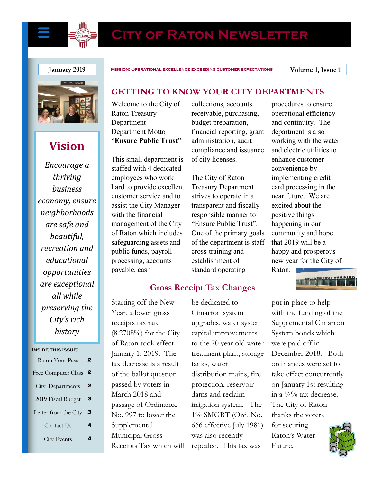

# **City of Raton Newsletter**



# **Vision**

*Encourage a thriving business economy, ensure neighborhoods are safe and beautiful, recreation and educational opportunities are exceptional all while preserving the City's rich history*

#### **Inside this issue:**

| Raton Your Pass      |   |
|----------------------|---|
| Free Computer Class  | 2 |
| City Departments     | 2 |
| 2019 Fiscal Budget   | з |
| Letter from the City | з |
| Contact Us           |   |
| City Events          |   |

**January 2019 Mission: Operational excellence exceeding customer expectations Volume 1, Issue 1**

# **GETTING TO KNOW YOUR CITY DEPARTMENTS**

Welcome to the City of Raton Treasury Department Department Motto "**Ensure Public Trust**"

This small department is staffed with 4 dedicated employees who work hard to provide excellent customer service and to assist the City Manager with the financial management of the City of Raton which includes safeguarding assets and public funds, payroll processing, accounts payable, cash

collections, accounts receivable, purchasing, budget preparation, financial reporting, grant administration, audit compliance and issuance of city licenses.

The City of Raton Treasury Department strives to operate in a transparent and fiscally responsible manner to "Ensure Public Trust". One of the primary goals of the department is staff cross-training and establishment of standard operating

# **Gross Receipt Tax Changes**

Starting off the New Year, a lower gross receipts tax rate (8.2708%) for the City of Raton took effect January 1, 2019. The tax decrease is a result of the ballot question passed by voters in March 2018 and passage of Ordinance No. 997 to lower the Supplemental Municipal Gross Receipts Tax which will

be dedicated to Cimarron system upgrades, water system capital improvements to the 70 year old water treatment plant, storage tanks, water distribution mains, fire protection, reservoir dams and reclaim irrigation system. The 1% SMGRT (Ord. No. 666 effective July 1981) was also recently repealed. This tax was

procedures to ensure operational efficiency and continuity. The department is also working with the water and electric utilities to enhance customer convenience by implementing credit card processing in the near future. We are excited about the positive things happening in our community and hope that 2019 will be a happy and prosperous new year for the City of Raton.

put in place to help with the funding of the Supplemental Cimarron System bonds which were paid off in December 2018. Both ordinances were set to take effect concurrently on January 1st resulting in a  $\frac{1}{4}\%$  tax decrease. The City of Raton thanks the voters for securing Raton's Water Future.

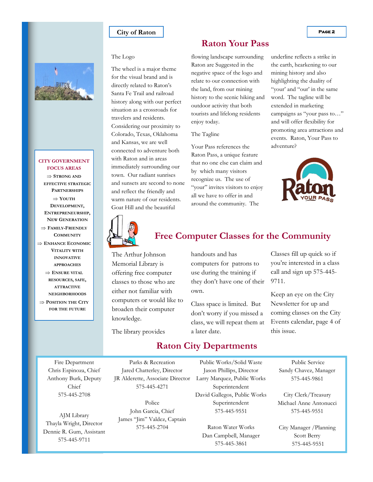#### **City of Raton PAGE 2**



#### **CITY GOVERNMENT FOCUS AREAS**

 **STRONG AND EFFECTIVE STRATEGIC PARTNERSHIPS YOUTH DEVELOPMENT, ENTREPRENEURSHIP, NEW GENERATION FAMILY-FRIENDLY COMMUNITY ENHANCE ECONOMIC VITALITY WITH INNOVATIVE APPROACHES ENSURE VITAL**

**RESOURCES, SAFE, ATTRACTIVE NEIGHBORHOODS POSITION THE CITY FOR THE FUTURE**

#### The Logo

The wheel is a major theme for the visual brand and is directly related to Raton's Santa Fe Trail and railroad history along with our perfect situation as a crossroads for travelers and residents. Considering our proximity to Colorado, Texas, Oklahoma and Kansas, we are well connected to adventure both with Raton and in areas immediately surrounding our town. Our radiant sunrises and sunsets are second to none and reflect the friendly and warm nature of our residents. Goat Hill and the beautiful

## **Raton Your Pass**

flowing landscape surrounding Raton are Suggested in the negative space of the logo and relate to our connection with the land, from our mining history to the scenic hiking and outdoor activity that both tourists and lifelong residents enjoy today.

#### The Tagline

Your Pass references the Raton Pass, a unique feature that no one else can claim and by which many visitors recognize us. The use of "your" invites visitors to enjoy all we have to offer in and around the community. The

underline reflects a strike in the earth, hearkening to our mining history and also highlighting the duality of "your' and "our' in the same word. The tagline will be extended in marketing campaigns as "your pass to…" and will offer flexibility for promoting area attractions and events. Raton, Your Pass to adventure?





## **Free Computer Classes for the Community**

The Arthur Johnson Memorial Library is offering free computer classes to those who are either not familiar with computers or would like to broaden their computer knowledge.

handouts and has computers for patrons to use during the training if they don't have one of their own.

Class space is limited. But don't worry if you missed a class, we will repeat them at a later date.

Classes fill up quick so if you're interested in a class call and sign up 575-445- 9711.

Keep an eye on the City Newsletter for up and coming classes on the City Events calendar, page 4 of this issue.

The library provides

# **Raton City Departments**

Fire Department Chris Espinoza, Chief Anthony Burk, Deputy Chief 575-445-2708

AJM Library Thayla Wright, Director Dennie R. Gum, Assistant 575-445-9711

Parks & Recreation Jared Chatterley, Director JR Alderette, Associate Director 575-445-4271

Police John Garcia, Chief James "Jim" Valdez, Captain 575-445-2704

Public Works/Solid Waste Jason Phillips, Director Larry Marquez, Public Works Superintendent David Gallegos, Public Works Superintendent 575-445-9551

Raton Water Works Dan Campbell, Manager 575-445-3861

Public Service Sandy Chavez, Manager 575-445-9861

City Clerk/Treasury Michael Anne Antonucci 575-445-9551

City Manager /Planning Scott Berry 575-445-9551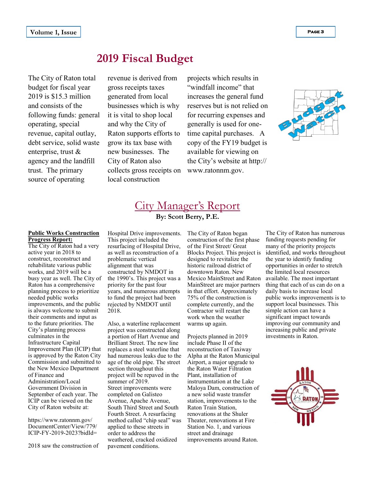# **2019 Fiscal Budget**

The City of Raton total budget for fiscal year 2019 is \$15.3 million and consists of the following funds: general operating, special revenue, capital outlay, debt service, solid waste enterprise, trust & agency and the landfill trust. The primary source of operating

revenue is derived from gross receipts taxes generated from local businesses which is why it is vital to shop local and why the City of Raton supports efforts to grow its tax base with new businesses. The City of Raton also collects gross receipts on local construction

projects which results in "windfall income" that increases the general fund reserves but is not relied on for recurring expenses and generally is used for onetime capital purchases. A copy of the FY19 budget is available for viewing on the City's website at http:// www.ratonnm.gov.



# City Manager's Report **By: Scott Berry, P.E.**

#### **Public Works Construction Progress Report:**

The City of Raton had a very active year in 2018 to construct, reconstruct and rehabilitate various public works, and 2019 will be a busy year as well. The City of Raton has a comprehensive planning process to prioritize needed public works improvements, and the public is always welcome to submit their comments and input as to the future priorities. The City's planning process culminates in the Infrastructure Capital Improvement Plan (ICIP) that is approved by the Raton City Commission and submitted to the New Mexico Department of Finance and Administration/Local Government Division in September of each year. The ICIP can be viewed on the City of Raton website at:

https://www.ratonnm.gov/ DocumentCenter/View/779/ ICIP-FY-2019-2023?bidId=

2018 saw the construction of

Hospital Drive improvements. This project included the resurfacing of Hospital Drive, as well as reconstruction of a problematic vertical alignment that was constructed by NMDOT in the 1990's. This project was a priority for the past four years, and numerous attempts to fund the project had been rejected by NMDOT until 2018.

Also, a waterline replacement project was constructed along a portion of Hart Avenue and Brilliant Street. The new line replaces a steel waterline that had numerous leaks due to the age of the old pipe. The street section throughout this project will be repaved in the summer of 2019. Street improvements were completed on Galisteo Avenue, Apache Avenue, South Third Street and South Fourth Street. A resurfacing method called "chip seal" was applied to these streets in order to address the weathered, cracked oxidized pavement conditions.

The City of Raton began construction of the first phase of the First Street/ Great designed to revitalize the historic railroad district of downtown Raton. New Mexico MainStreet and Raton MainStreet are major partners in that effort. Approximately 75% of the construction is complete currently, and the Contractor will restart the work when the weather warms up again.

Projects planned in 2019 include Phase II of the reconstruction of Taxiway Alpha at the Raton Municipal Airport, a major upgrade to the Raton Water Filtration Plant, installation of instrumentation at the Lake Maloya Dam, construction of a new solid waste transfer station, improvements to the Raton Train Station, renovations at the Shuler Theater, renovations at Fire Station No. 1, and various street and drainage improvements around Raton.

Blocks Project. This project is identified, and works throughout The City of Raton has numerous funding requests pending for many of the priority projects the year to identify funding opportunities in order to stretch the limited local resources available. The most important thing that each of us can do on a daily basis to increase local public works improvements is to support local businesses. This simple action can have a significant impact towards improving our community and increasing public and private investments in Raton.